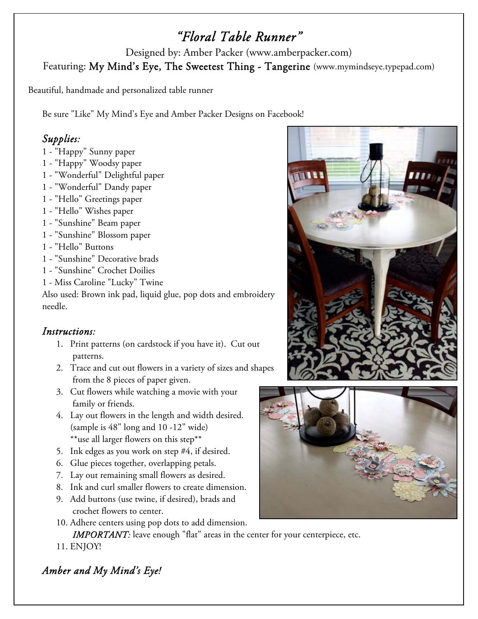## *"Floral Table Runner"*

Designed by: Amber Packer (www.amberpacker.com)

Featuring: My Mind's Eye, The Sweetest Thing - Tangerine (www.mymindseye.typepad.com)

Beautiful, handmade and personalized table runner

Be sure "Like" My Mind's Eye and Amber Packer Designs on Facebook!

## *Supplies:*

- 1 "Happy" Sunny paper
- 1 "Happy" Woodsy paper
- 1 "Wonderful" Delightful paper
- 1 "Wonderful" Dandy paper
- 1 "Hello" Greetings paper
- 1 "Hello" Wishes paper
- 1 "Sunshine" Beam paper
- 1 "Sunshine" Blossom paper
- 1 "Hello" Buttons
- 1 "Sunshine" Decorative brads
- 1 "Sunshine" Crochet Doilies
- 1 Miss Caroline "Lucky" Twine

Also used: Brown ink pad, liquid glue, pop dots and embroidery needle.

#### *Instructions:*

- 1. Print patterns (on cardstock if you have it). Cut out patterns.
- 2. Trace and cut out flowers in a variety of sizes and shapes from the 8 pieces of paper given.
- 3. Cut flowers while watching a movie with your family or friends.
- 4. Lay out flowers in the length and width desired. (sample is 48" long and 10 -12" wide) \*\*use all larger flowers on this step\*\*
- 5. Ink edges as you work on step #4, if desired.
- 6. Glue pieces together, overlapping petals.
- 7. Lay out remaining small flowers as desired.
- 8. Ink and curl smaller flowers to create dimension.
- 9. Add buttons (use twine, if desired), brads and crochet flowers to center.
- 10. Adhere centers using pop dots to add dimension.

*IMPORTANT:* leave enough "flat" areas in the center for your centerpiece, etc.

11. ENJOY!

## *Amber and My Mind's Eye!*

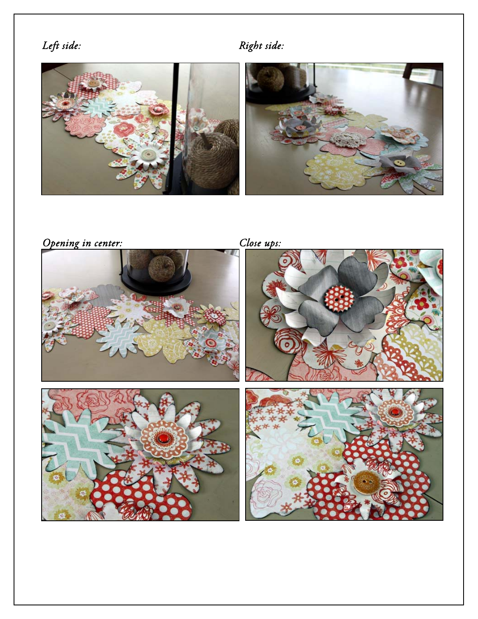# *Left side: Right side:*





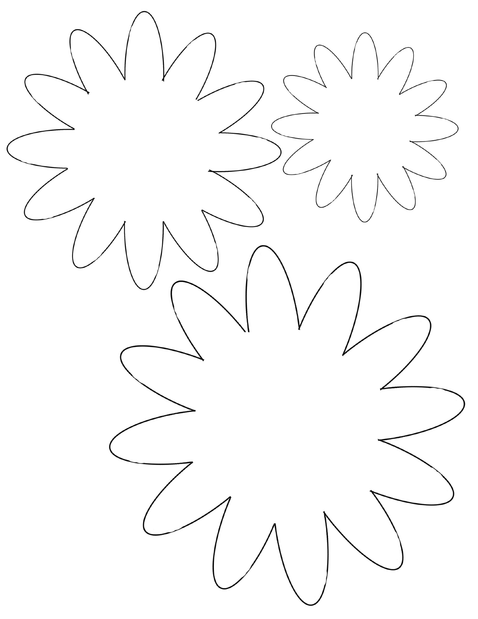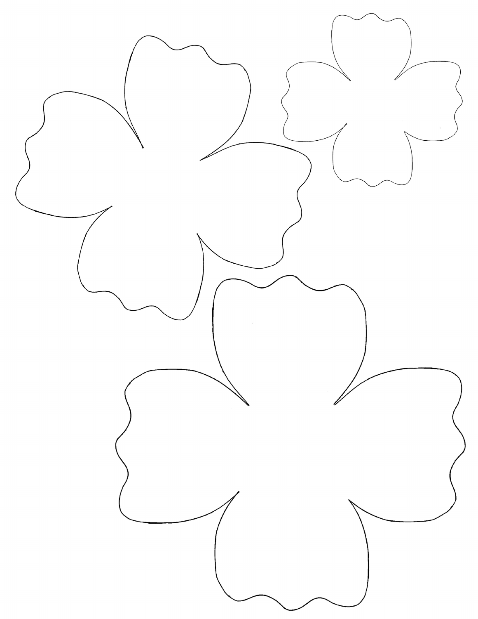